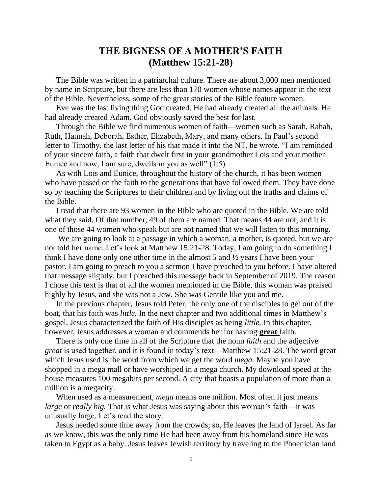# **THE BIGNESS OF A MOTHER'S FAITH (Matthew 15:21-28)**

The Bible was written in a patriarchal culture. There are about 3,000 men mentioned by name in Scripture, but there are less than 170 women whose names appear in the text of the Bible. Nevertheless, some of the great stories of the Bible feature women.

Eve was the last living thing God created. He had already created all the animals. He had already created Adam. God obviously saved the best for last.

Through the Bible we find numerous women of faith—women such as Sarah, Rahab, Ruth, Hannah, Deborah, Esther, Elizabeth, Mary, and many others. In Paul's second letter to Timothy, the last letter of his that made it into the NT, he wrote, "I am reminded of your sincere faith, a faith that dwelt first in your grandmother Lois and your mother Eunice and now, I am sure, dwells in you as well" (1:5).

As with Lois and Eunice, throughout the history of the church, it has been women who have passed on the faith to the generations that have followed them. They have done so by teaching the Scriptures to their children and by living out the truths and claims of the Bible.

I read that there are 93 women in the Bible who are quoted in the Bible. We are told what they said. Of that number, 49 of them are named. That means 44 are not, and it is one of those 44 women who speak but are not named that we will listen to this morning.

We are going to look at a passage in which a woman, a mother, is quoted, but we are not told her name. Let's look at Matthew 15:21-28. Today, I am going to do something I think I have done only one other time in the almost 5 and ½ years I have been your pastor. I am going to preach to you a sermon I have preached to you before. I have altered that message slightly, but I preached this message back in September of 2019. The reason I chose this text is that of all the women mentioned in the Bible, this woman was praised highly by Jesus, and she was not a Jew. She was Gentile like you and me.

In the previous chapter, Jesus told Peter, the only one of the disciples to get out of the boat, that his faith was *little.* In the next chapter and two additional times in Matthew's gospel, Jesus characterized the faith of His disciples as being *little.* In this chapter, however, Jesus addresses a woman and commends her for having **great** faith.

There is only one time in all of the Scripture that the noun *faith* and the adjective *great* is used together, and it is found in today's text—Matthew 15:21-28. The word great which Jesus used is the word from which we get the word *mega.* Maybe you have shopped in a mega mall or have worshiped in a mega church. My download speed at the house measures 100 megabits per second. A city that boasts a population of more than a million is a megacity.

When used as a measurement, *mega* means one million. Most often it just means *large* or *really big.* That is what Jesus was saying about this woman's faith—it was unusually large. Let's read the story.

Jesus needed some time away from the crowds; so, He leaves the land of Israel. As far as we know, this was the only time He had been away from his homeland since He was taken to Egypt as a baby. Jesus leaves Jewish territory by traveling to the Phoenician land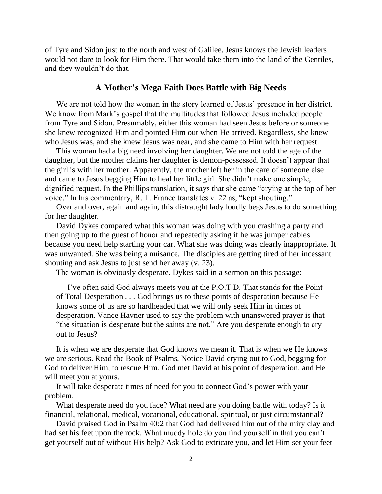of Tyre and Sidon just to the north and west of Galilee. Jesus knows the Jewish leaders would not dare to look for Him there. That would take them into the land of the Gentiles, and they wouldn't do that.

#### **A Mother's Mega Faith Does Battle with Big Needs**

We are not told how the woman in the story learned of Jesus' presence in her district. We know from Mark's gospel that the multitudes that followed Jesus included people from Tyre and Sidon. Presumably, either this woman had seen Jesus before or someone she knew recognized Him and pointed Him out when He arrived. Regardless, she knew who Jesus was, and she knew Jesus was near, and she came to Him with her request.

This woman had a big need involving her daughter. We are not told the age of the daughter, but the mother claims her daughter is demon-possessed. It doesn't appear that the girl is with her mother. Apparently, the mother left her in the care of someone else and came to Jesus begging Him to heal her little girl. She didn't make one simple, dignified request. In the Phillips translation, it says that she came "crying at the top of her voice." In his commentary, R. T. France translates v. 22 as, "kept shouting."

Over and over, again and again, this distraught lady loudly begs Jesus to do something for her daughter.

David Dykes compared what this woman was doing with you crashing a party and then going up to the guest of honor and repeatedly asking if he was jumper cables because you need help starting your car. What she was doing was clearly inappropriate. It was unwanted. She was being a nuisance. The disciples are getting tired of her incessant shouting and ask Jesus to just send her away (v. 23).

The woman is obviously desperate. Dykes said in a sermon on this passage:

I've often said God always meets you at the P.O.T.D. That stands for the Point of Total Desperation . . . God brings us to these points of desperation because He knows some of us are so hardheaded that we will only seek Him in times of desperation. Vance Havner used to say the problem with unanswered prayer is that "the situation is desperate but the saints are not." Are you desperate enough to cry out to Jesus?

It is when we are desperate that God knows we mean it. That is when we He knows we are serious. Read the Book of Psalms. Notice David crying out to God, begging for God to deliver Him, to rescue Him. God met David at his point of desperation, and He will meet you at yours.

It will take desperate times of need for you to connect God's power with your problem.

What desperate need do you face? What need are you doing battle with today? Is it financial, relational, medical, vocational, educational, spiritual, or just circumstantial?

David praised God in Psalm 40:2 that God had delivered him out of the miry clay and had set his feet upon the rock. What muddy hole do you find yourself in that you can't get yourself out of without His help? Ask God to extricate you, and let Him set your feet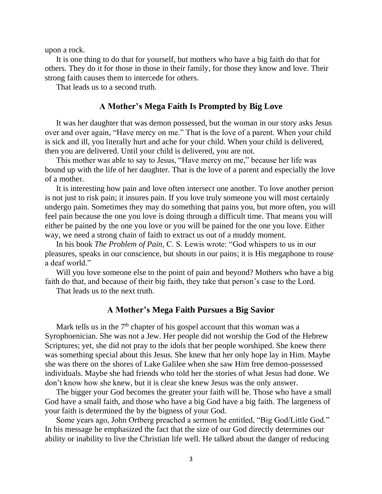upon a rock.

It is one thing to do that for yourself, but mothers who have a big faith do that for others. They do it for those in those in their family, for those they know and love. Their strong faith causes them to intercede for others.

That leads us to a second truth.

#### **A Mother's Mega Faith Is Prompted by Big Love**

It was her daughter that was demon possessed, but the woman in our story asks Jesus over and over again, "Have mercy on me." That is the love of a parent. When your child is sick and ill, you literally hurt and ache for your child. When your child is delivered, then you are delivered. Until your child is delivered, you are not.

This mother was able to say to Jesus, "Have mercy on me," because her life was bound up with the life of her daughter. That is the love of a parent and especially the love of a mother.

It is interesting how pain and love often intersect one another. To love another person is not just to risk pain; it insures pain. If you love truly someone you will most certainly undergo pain. Sometimes they may do something that pains you, but more often, you will feel pain because the one you love is doing through a difficult time. That means you will either be pained by the one you love or you will be pained for the one you love. Either way, we need a strong chain of faith to extract us out of a muddy moment.

In his book *The Problem of Pain,* C. S. Lewis wrote: "God whispers to us in our pleasures, speaks in our conscience, but shouts in our pains; it is His megaphone to rouse a deaf world."

Will you love someone else to the point of pain and beyond? Mothers who have a big faith do that, and because of their big faith, they take that person's case to the Lord.

That leads us to the next truth.

## **A Mother's Mega Faith Pursues a Big Savior**

Mark tells us in the  $7<sup>th</sup>$  chapter of his gospel account that this woman was a Syrophoenician. She was not a Jew. Her people did not worship the God of the Hebrew Scriptures; yet, she did not pray to the idols that her people worshiped. She knew there was something special about this Jesus. She knew that her only hope lay in Him. Maybe she was there on the shores of Lake Galilee when she saw Him free demon-possessed individuals. Maybe she had friends who told her the stories of what Jesus had done. We don't know how she knew, but it is clear she knew Jesus was the only answer.

The bigger your God becomes the greater your faith will be. Those who have a small God have a small faith, and those who have a big God have a big faith. The largeness of your faith is determined the by the bigness of your God.

Some years ago, John Ortberg preached a sermon he entitled, "Big God/Little God." In his message he emphasized the fact that the size of our God directly determines our ability or inability to live the Christian life well. He talked about the danger of reducing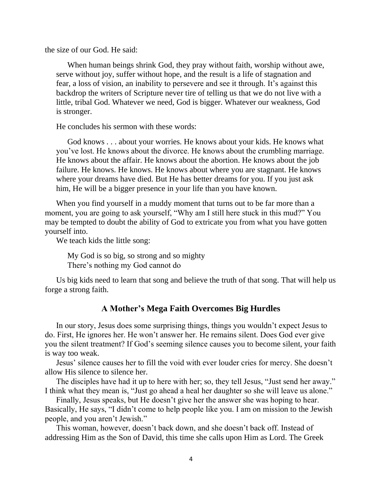the size of our God. He said:

When human beings shrink God, they pray without faith, worship without awe, serve without joy, suffer without hope, and the result is a life of stagnation and fear, a loss of vision, an inability to persevere and see it through. It's against this backdrop the writers of Scripture never tire of telling us that we do not live with a little, tribal God. Whatever we need, God is bigger. Whatever our weakness, God is stronger.

He concludes his sermon with these words:

God knows . . . about your worries. He knows about your kids. He knows what you've lost. He knows about the divorce. He knows about the crumbling marriage. He knows about the affair. He knows about the abortion. He knows about the job failure. He knows. He knows. He knows about where you are stagnant. He knows where your dreams have died. But He has better dreams for you. If you just ask him, He will be a bigger presence in your life than you have known.

When you find yourself in a muddy moment that turns out to be far more than a moment, you are going to ask yourself, "Why am I still here stuck in this mud?" You may be tempted to doubt the ability of God to extricate you from what you have gotten yourself into.

We teach kids the little song:

My God is so big, so strong and so mighty There's nothing my God cannot do

Us big kids need to learn that song and believe the truth of that song. That will help us forge a strong faith.

# **A Mother's Mega Faith Overcomes Big Hurdles**

In our story, Jesus does some surprising things, things you wouldn't expect Jesus to do. First, He ignores her. He won't answer her. He remains silent. Does God ever give you the silent treatment? If God's seeming silence causes you to become silent, your faith is way too weak.

Jesus' silence causes her to fill the void with ever louder cries for mercy. She doesn't allow His silence to silence her.

The disciples have had it up to here with her; so, they tell Jesus, "Just send her away." I think what they mean is, "Just go ahead a heal her daughter so she will leave us alone."

Finally, Jesus speaks, but He doesn't give her the answer she was hoping to hear. Basically, He says, "I didn't come to help people like you. I am on mission to the Jewish people, and you aren't Jewish."

This woman, however, doesn't back down, and she doesn't back off. Instead of addressing Him as the Son of David, this time she calls upon Him as Lord. The Greek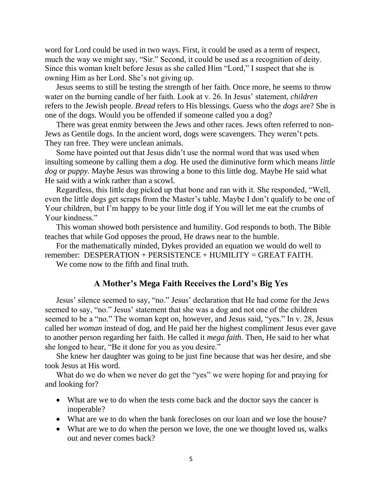word for Lord could be used in two ways. First, it could be used as a term of respect, much the way we might say, "Sir." Second, it could be used as a recognition of deity. Since this woman knelt before Jesus as she called Him "Lord," I suspect that she is owning Him as her Lord. She's not giving up.

Jesus seems to still be testing the strength of her faith. Once more, he seems to throw water on the burning candle of her faith. Look at v. 26. In Jesus' statement, *children* refers to the Jewish people. *Bread* refers to His blessings. Guess who the *dogs* are? She is one of the dogs. Would you be offended if someone called you a dog?

There was great enmity between the Jews and other races. Jews often referred to non-Jews as Gentile dogs. In the ancient word, dogs were scavengers. They weren't pets. They ran free. They were unclean animals.

Some have pointed out that Jesus didn't use the normal word that was used when insulting someone by calling them a *dog.* He used the diminutive form which means *little dog* or *puppy.* Maybe Jesus was throwing a bone to this little dog. Maybe He said what He said with a wink rather than a scowl.

Regardless, this little dog picked up that bone and ran with it. She responded, "Well, even the little dogs get scraps from the Master's table. Maybe I don't qualify to be one of Your children, but I'm happy to be your little dog if You will let me eat the crumbs of Your kindness."

This woman showed both persistence and humility. God responds to both. The Bible teaches that while God opposes the proud, He draws near to the humble.

For the mathematically minded, Dykes provided an equation we would do well to remember:  $DESPERATION + PERSONCE + HUMILITY = GREAT FAITH.$ 

We come now to the fifth and final truth.

## **A Mother's Mega Faith Receives the Lord's Big Yes**

Jesus' silence seemed to say, "no." Jesus' declaration that He had come for the Jews seemed to say, "no." Jesus' statement that she was a dog and not one of the children seemed to be a "no." The woman kept on, however, and Jesus said, "yes." In v. 28, Jesus called her *woman* instead of dog, and He paid her the highest compliment Jesus ever gave to another person regarding her faith. He called it *mega faith.* Then, He said to her what she longed to hear, "Be it done for you as you desire."

She knew her daughter was going to be just fine because that was her desire, and she took Jesus at His word.

What do we do when we never do get the "yes" we were hoping for and praying for and looking for?

- What are we to do when the tests come back and the doctor says the cancer is inoperable?
- What are we to do when the bank forecloses on our loan and we lose the house?
- What are we to do when the person we love, the one we thought loved us, walks out and never comes back?